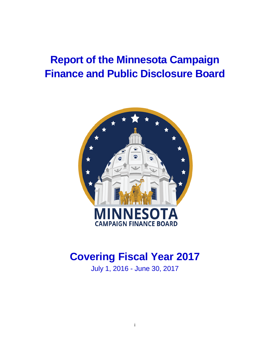# **Report of the Minnesota Campaign Finance and Public Disclosure Board**



# **Covering Fiscal Year 2017**

July 1, 2016 - June 30, 2017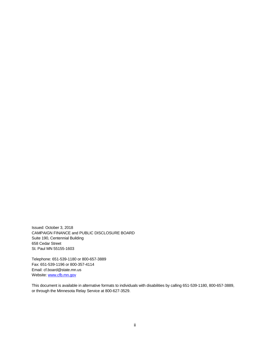Issued: October 3, 2018 CAMPAIGN FINANCE and PUBLIC DISCLOSURE BOARD Suite 190, Centennial Building 658 Cedar Street St. Paul MN 55155-1603

Telephone: 651-539-1180 or 800-657-3889 Fax: 651-539-1196 or 800-357-4114 Email: cf.board@state.mn.us Website: www.cfb.mn.gov

This document is available in alternative formats to individuals with disabilities by calling 651-539-1180, 800-657-3889, or through the Minnesota Relay Service at 800-627-3529.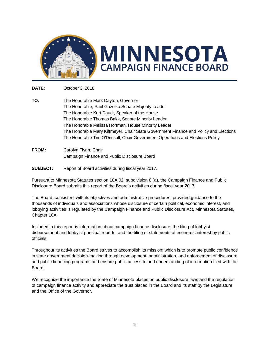

**DATE:** October 3, 2018

- **TO:** The Honorable Mark Dayton, Governor The Honorable, Paul Gazelka Senate Majority Leader The Honorable Kurt Daudt, Speaker of the House The Honorable Thomas Bakk, Senate Minority Leader The Honorable Melissa Hortman, House Minority Leader The Honorable Mary Kiffmeyer, Chair State Government Finance and Policy and Elections The Honorable Tim O'Driscoll, Chair Government Operations and Elections Policy
- **FROM:** Carolyn Flynn, Chair Campaign Finance and Public Disclosure Board

## **SUBJECT:** Report of Board activities during fiscal year 2017.

Pursuant to Minnesota Statutes section 10A.02, subdivision 8 (a), the Campaign Finance and Public Disclosure Board submits this report of the Board's activities during fiscal year 2017.

The Board, consistent with its objectives and administrative procedures, provided guidance to the thousands of individuals and associations whose disclosure of certain political, economic interest, and lobbying activities is regulated by the Campaign Finance and Public Disclosure Act, Minnesota Statutes, Chapter 10A.

Included in this report is information about campaign finance disclosure, the filing of lobbyist disbursement and lobbyist principal reports, and the filing of statements of economic interest by public officials.

Throughout its activities the Board strives to accomplish its mission; which is to promote public confidence in state government decision-making through development, administration, and enforcement of disclosure and public financing programs and ensure public access to and understanding of information filed with the Board.

We recognize the importance the State of Minnesota places on public disclosure laws and the regulation of campaign finance activity and appreciate the trust placed in the Board and its staff by the Legislature and the Office of the Governor.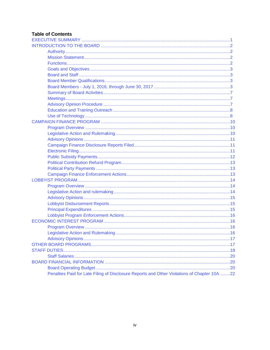# **Table of Contents**

| Penalties Paid for Late Filing of Disclosure Reports and Other Violations of Chapter 10A 22 |  |
|---------------------------------------------------------------------------------------------|--|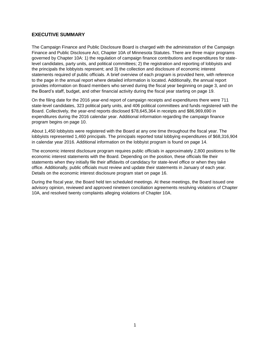## <span id="page-4-0"></span>**EXECUTIVE SUMMARY**

The Campaign Finance and Public Disclosure Board is charged with the administration of the Campaign Finance and Public Disclosure Act, Chapter 10A of Minnesota Statutes. There are three major programs governed by Chapter 10A: 1) the regulation of campaign finance contributions and expenditures for statelevel candidates, party units, and political committees; 2) the registration and reporting of lobbyists and the principals the lobbyists represent; and 3) the collection and disclosure of economic interest statements required of public officials. A brief overview of each program is provided here, with reference to the page in the annual report where detailed information is located. Additionally, the annual report provides information on Board members who served during the fiscal year beginning on page 3, and on the Board's staff, budget, and other financial activity during the fiscal year starting on page 19.

On the filing date for the 2016 year-end report of campaign receipts and expenditures there were 711 state-level candidates, 323 political party units, and 406 political committees and funds registered with the Board. Collectively, the year-end reports disclosed \$78,645,364 in receipts and \$86,969,690 in expenditures during the 2016 calendar year. Additional information regarding the campaign finance program begins on page 10.

About 1,450 lobbyists were registered with the Board at any one time throughout the fiscal year. The lobbyists represented 1,460 principals. The principals reported total lobbying expenditures of \$68,316,904 in calendar year 2016. Additional information on the lobbyist program is found on page 14.

The economic interest disclosure program requires public officials in approximately 2,800 positions to file economic interest statements with the Board. Depending on the position, these officials file their statements when they initially file their affidavits of candidacy for state-level office or when they take office. Additionally, public officials must review and update their statements in January of each year. Details on the economic interest disclosure program start on page 16.

During the fiscal year, the Board held ten scheduled meetings. At these meetings, the Board issued one advisory opinion, reviewed and approved nineteen conciliation agreements resolving violations of Chapter 10A, and resolved twenty complaints alleging violations of Chapter 10A.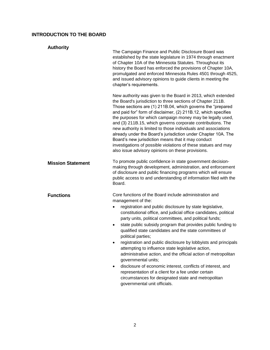# <span id="page-5-0"></span>**INTRODUCTION TO THE BOARD**

<span id="page-5-3"></span><span id="page-5-2"></span><span id="page-5-1"></span>

| <b>Authority</b>         | The Campaign Finance and Public Disclosure Board was<br>established by the state legislature in 1974 through enactment<br>of Chapter 10A of the Minnesota Statutes. Throughout its<br>history the Board has enforced the provisions of Chapter 10A,<br>promulgated and enforced Minnesota Rules 4501 through 4525,<br>and issued advisory opinions to guide clients in meeting the<br>chapter's requirements.                                                                                                                                                                                                                                                                                                                                                                                                                                                                      |
|--------------------------|------------------------------------------------------------------------------------------------------------------------------------------------------------------------------------------------------------------------------------------------------------------------------------------------------------------------------------------------------------------------------------------------------------------------------------------------------------------------------------------------------------------------------------------------------------------------------------------------------------------------------------------------------------------------------------------------------------------------------------------------------------------------------------------------------------------------------------------------------------------------------------|
|                          | New authority was given to the Board in 2013, which extended<br>the Board's jurisdiction to three sections of Chapter 211B.<br>Those sections are (1) 211B.04, which governs the "prepared<br>and paid for" form of disclaimer, (2) 211B.12, which specifies<br>the purposes for which campaign money may be legally used,<br>and (3) 211B.15, which governs corporate contributions. The<br>new authority is limited to those individuals and associations<br>already under the Board's jurisdiction under Chapter 10A. The<br>Board's new jurisdiction means that it may conduct<br>investigations of possible violations of these statues and may<br>also issue advisory opinions on these provisions.                                                                                                                                                                          |
| <b>Mission Statement</b> | To promote public confidence in state government decision-<br>making through development, administration, and enforcement<br>of disclosure and public financing programs which will ensure<br>public access to and understanding of information filed with the<br>Board.                                                                                                                                                                                                                                                                                                                                                                                                                                                                                                                                                                                                           |
| <b>Functions</b>         | Core functions of the Board include administration and<br>management of the:<br>registration and public disclosure by state legislative,<br>$\bullet$<br>constitutional office, and judicial office candidates, political<br>party units, political committees, and political funds;<br>state public subsidy program that provides public funding to<br>٠<br>qualified state candidates and the state committees of<br>political parties;<br>registration and public disclosure by lobbyists and principals<br>attempting to influence state legislative action,<br>administrative action, and the official action of metropolitan<br>governmental units;<br>disclosure of economic interest, conflicts of interest, and<br>$\bullet$<br>representation of a client for a fee under certain<br>circumstances for designated state and metropolitan<br>governmental unit officials. |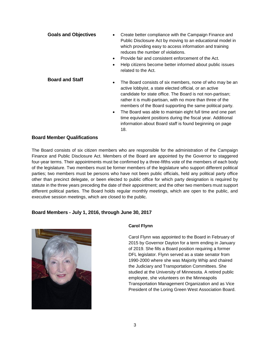<span id="page-6-1"></span><span id="page-6-0"></span>

| <b>Goals and Objectives</b> | Create better compliance with the Campaign Finance and<br>$\bullet$<br>Public Disclosure Act by moving to an educational model in<br>which providing easy to access information and training<br>reduces the number of violations.<br>Provide fair and consistent enforcement of the Act.<br>$\bullet$<br>Help citizens become better informed about public issues<br>$\bullet$<br>related to the Act. |
|-----------------------------|-------------------------------------------------------------------------------------------------------------------------------------------------------------------------------------------------------------------------------------------------------------------------------------------------------------------------------------------------------------------------------------------------------|
| <b>Board and Staff</b>      | The Board consists of six members, none of who may be an<br>$\bullet$<br>active lobbyist, a state elected official, or an active<br>candidate for state office. The Board is not non-partisan;<br>rather it is multi-partisan, with no more than three of the<br>members of the Board supporting the same political party.                                                                            |

• The Board was able to maintain eight full time and one part time equivalent positions during the fiscal year. Additional information about Board staff is found beginning on page 18.

#### <span id="page-6-2"></span>**Board Member Qualifications**

The Board consists of six citizen members who are responsible for the administration of the Campaign Finance and Public Disclosure Act. Members of the Board are appointed by the Governor to staggered four-year terms. Their appointments must be confirmed by a three-fifths vote of the members of each body of the legislature. Two members must be former members of the legislature who support different political parties; two members must be persons who have not been public officials, held any political party office other than precinct delegate, or been elected to public office for which party designation is required by statute in the three years preceding the date of their appointment; and the other two members must support different political parties. The Board holds regular monthly meetings, which are open to the public, and executive session meetings, which are closed to the public.

#### <span id="page-6-3"></span>**Board Members - July 1, 2016, through June 30, 2017**



#### **Carol Flynn**

Carol Flynn was appointed to the Board in February of 2015 by Governor Dayton for a term ending in January of 2019. She fills a Board position requiring a former DFL legislator. Flynn served as a state senator from 1990-2000 where she was Majority Whip and chaired the Judiciary and Transportation Committees. She studied at the University of Minnesota. A retired public employee, she volunteers on the Minneapolis Transportation Management Organization and as Vice President of the Loring Green West Association Board.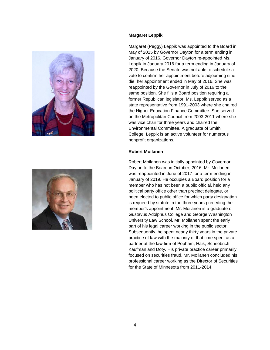



#### **Margaret Leppik**

Margaret (Peggy) Leppik was appointed to the Board in May of 2015 by Governor Dayton for a term ending in January of 2016. Governor Dayton re-appointed Ms. Leppik in January 2016 for a term ending in January of 2020. Because the Senate was not able to schedule a vote to confirm her appointment before adjourning sine die, her appointment ended in May of 2016. She was reappointed by the Governor in July of 2016 to the same position. She fills a Board position requiring a former Republican legislator. Ms. Leppik served as a state representative from 1991-2003 where she chaired the Higher Education Finance Committee. She served on the Metropolitan Council from 2003-2011 where she was vice chair for three years and chaired the Environmental Committee. A graduate of Smith College, Leppik is an active volunteer for numerous nonprofit organizations.

#### **Robert Moilanen**

Robert Moilanen was initially appointed by Governor Dayton to the Board in October, 2016. Mr. Moilanen was reappointed in June of 2017 for a term ending in January of 2019. He occupies a Board position for a member who has not been a public official, held any political party office other than precinct delegate, or been elected to public office for which party designation is required by statute in the three years preceding the member's appointment. Mr. Moilanen is a graduate of Gustavus Adolphus College and George Washington University Law School. Mr. Moilanen spent the early part of his legal career working in the public sector. Subsequently, he spent nearly thirty years in the private practice of law with the majority of that time spent as a partner at the law firm of Popham, Haik, Schnobrich, Kaufman and Doty. His private practice career primarily focused on securities fraud. Mr. Moilanen concluded his professional career working as the Director of Securities for the State of Minnesota from 2011-2014.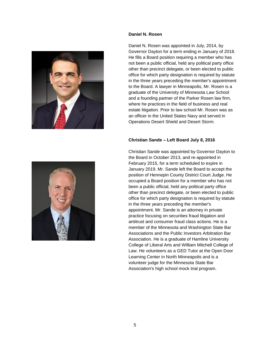



#### **Daniel N. Rosen**

Daniel N. Rosen was appointed in July, 2014, by Governor Dayton for a term ending in January of 2018. He fills a Board position requiring a member who has not been a public official, held any political party office other than precinct delegate, or been elected to public office for which party designation is required by statute in the three years preceding the member's appointment to the Board. A lawyer in Minneapolis, Mr. Rosen is a graduate of the University of Minnesota Law School and a founding partner of the Parker Rosen law firm, where he practices in the field of business and real estate litigation. Prior to law school Mr. Rosen was as an officer in the United States Navy and served in Operations Desert Shield and Desert Storm.

#### **Christian Sande – Left Board July 8, 2016**

Christian Sande was appointed by Governor Dayton to the Board in October 2013, and re-appointed in February 2015, for a term scheduled to expire in January 2019. Mr. Sande left the Board to accept the position of Hennepin County District Court Judge. He occupied a Board position for a member who has not been a public official, held any political party office other than precinct delegate, or been elected to public office for which party designation is required by statute in the three years preceding the member's appointment. Mr. Sande is an attorney in private practice focusing on securities fraud litigation and antitrust and consumer fraud class actions. He is a member of the Minnesota and Washington State Bar Associations and the Public Investors Arbitration Bar Association. He is a graduate of Hamline University College of Liberal Arts and William Mitchell College of Law. He volunteers as a GED Tutor at the Open Door Learning Center in North Minneapolis and is a volunteer judge for the Minnesota State Bar Association's high school mock trial program.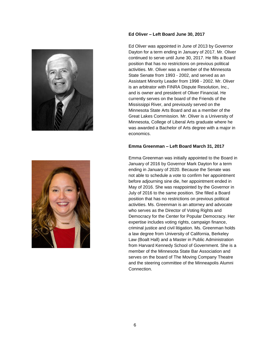



#### **Ed Oliver – Left Board June 30, 2017**

Ed Oliver was appointed in June of 2013 by Governor Dayton for a term ending in January of 2017. Mr. Oliver continued to serve until June 30, 2017. He fills a Board position that has no restrictions on previous political activities. Mr. Oliver was a member of the Minnesota State Senate from 1993 - 2002, and served as an Assistant Minority Leader from 1998 - 2002. Mr. Oliver is an arbitrator with FINRA Dispute Resolution, Inc., and is owner and president of Oliver Financial. He currently serves on the board of the Friends of the Mississippi River, and previously served on the Minnesota State Arts Board and as a member of the Great Lakes Commission. Mr. Oliver is a University of Minnesota, College of Liberal Arts graduate where he was awarded a Bachelor of Arts degree with a major in economics.

#### **Emma Greenman – Left Board March 31, 2017**

Emma Greenman was initially appointed to the Board in January of 2016 by Governor Mark Dayton for a term ending in January of 2020. Because the Senate was not able to schedule a vote to confirm her appointment before adjourning sine die, her appointment ended in May of 2016. She was reappointed by the Governor in July of 2016 to the same position. She filled a Board position that has no restrictions on previous political activities. Ms. Greenman is an attorney and advocate who serves as the Director of Voting Rights and Democracy for the Center for Popular Democracy. Her expertise includes voting rights, campaign finance, criminal justice and civil litigation. Ms. Greenman holds a law degree from University of California, Berkeley Law (Boalt Hall) and a Master in Public Administration from Harvard Kennedy School of Government. She is a member of the Minnesota State Bar Association and serves on the board of The Moving Company Theatre and the steering committee of the Minneapolis Alumni Connection.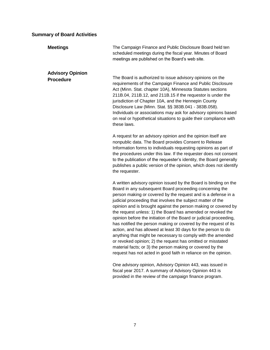# <span id="page-10-0"></span>**Summary of Board Activities**

<span id="page-10-2"></span><span id="page-10-1"></span>

| <b>Meetings</b>                             | The Campaign Finance and Public Disclosure Board held ten<br>scheduled meetings during the fiscal year. Minutes of Board<br>meetings are published on the Board's web site.                                                                                                                                                                                                                                                                                                                                                                                                                                                                                                                                                                                                                                                                                          |
|---------------------------------------------|----------------------------------------------------------------------------------------------------------------------------------------------------------------------------------------------------------------------------------------------------------------------------------------------------------------------------------------------------------------------------------------------------------------------------------------------------------------------------------------------------------------------------------------------------------------------------------------------------------------------------------------------------------------------------------------------------------------------------------------------------------------------------------------------------------------------------------------------------------------------|
| <b>Advisory Opinion</b><br><b>Procedure</b> | The Board is authorized to issue advisory opinions on the<br>requirements of the Campaign Finance and Public Disclosure<br>Act (Minn. Stat. chapter 10A), Minnesota Statutes sections<br>211B.04, 211B.12, and 211B.15 if the requestor is under the<br>jurisdiction of Chapter 10A, and the Hennepin County<br>Disclosure Law (Minn. Stat. §§ 383B.041 - 383B.058).<br>Individuals or associations may ask for advisory opinions based<br>on real or hypothetical situations to guide their compliance with<br>these laws.                                                                                                                                                                                                                                                                                                                                          |
|                                             | A request for an advisory opinion and the opinion itself are<br>nonpublic data. The Board provides Consent to Release<br>Information forms to individuals requesting opinions as part of<br>the procedures under this law. If the requester does not consent<br>to the publication of the requester's identity, the Board generally<br>publishes a public version of the opinion, which does not identify<br>the requester.                                                                                                                                                                                                                                                                                                                                                                                                                                          |
|                                             | A written advisory opinion issued by the Board is binding on the<br>Board in any subsequent Board proceeding concerning the<br>person making or covered by the request and is a defense in a<br>judicial proceeding that involves the subject matter of the<br>opinion and is brought against the person making or covered by<br>the request unless: 1) the Board has amended or revoked the<br>opinion before the initiation of the Board or judicial proceeding,<br>has notified the person making or covered by the request of its<br>action, and has allowed at least 30 days for the person to do<br>anything that might be necessary to comply with the amended<br>or revoked opinion; 2) the request has omitted or misstated<br>material facts; or 3) the person making or covered by the<br>request has not acted in good faith in reliance on the opinion. |
|                                             | One advisory opinion, Advisory Opinion 443, was issued in<br>fiscal year 2017. A summary of Advisory Opinion 443 is<br>provided in the review of the campaign finance program.                                                                                                                                                                                                                                                                                                                                                                                                                                                                                                                                                                                                                                                                                       |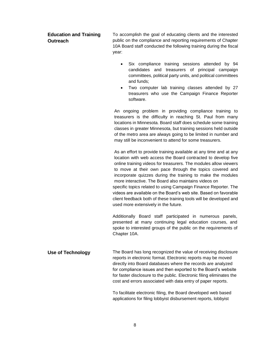# <span id="page-11-0"></span>**Education and Training Outreach**

To accomplish the goal of educating clients and the interested public on the compliance and reporting requirements of Chapter 10A Board staff conducted the following training during the fiscal year:

- Six compliance training sessions attended by 94 candidates and treasurers of principal campaign committees, political party units, and political committees and funds;
- Two computer lab training classes attended by 27 treasurers who use the Campaign Finance Reporter software.

An ongoing problem in providing compliance training to treasurers is the difficulty in reaching St. Paul from many locations in Minnesota. Board staff does schedule some training classes in greater Minnesota, but training sessions held outside of the metro area are always going to be limited in number and may still be inconvenient to attend for some treasurers.

As an effort to provide training available at any time and at any location with web access the Board contracted to develop five online training videos for treasurers. The modules allow viewers to move at their own pace through the topics covered and incorporate quizzes during the training to make the modules more interactive. The Board also maintains videos on specific topics related to using Campaign Finance Reporter. The videos are available on the Board's web site. Based on favorable client feedback both of these training tools will be developed and

Additionally Board staff participated in numerous panels, presented at many continuing legal education courses, and spoke to interested groups of the public on the requirements of Chapter 10A.

<span id="page-11-1"></span>**Use of Technology** The Board has long recognized the value of receiving disclosure reports in electronic format. Electronic reports may be moved directly into Board databases where the records are analyzed for compliance issues and then exported to the Board's website for faster disclosure to the public. Electronic filing eliminates the cost and errors associated with data entry of paper reports.

used more extensively in the future.

To facilitate electronic filing, the Board developed web based applications for filing lobbyist disbursement reports, lobbyist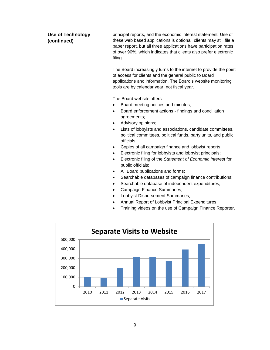**Use of Technology (continued)** principal reports, and the economic interest statement. Use of these web based applications is optional, clients may still file a paper report, but all three applications have participation rates of over 90%, which indicates that clients also prefer electronic filing.

> The Board increasingly turns to the internet to provide the point of access for clients and the general public to Board applications and information. The Board's website monitoring tools are by calendar year, not fiscal year.

The Board website offers:

- Board meeting notices and minutes;
- Board enforcement actions findings and conciliation agreements;
- Advisory opinions;
- Lists of lobbyists and associations, candidate committees, political committees, political funds, party units, and public officials;
- Copies of all campaign finance and lobbyist reports;
- Electronic filing for lobbyists and lobbyist principals;
- Electronic filing of the *Statement of Economic Interest* for public officials;
- All Board publications and forms;
- Searchable databases of campaign finance contributions;
- Searchable database of independent expenditures;
- Campaign Finance Summaries;
- Lobbyist Disbursement Summaries;
- Annual Report of Lobbyist Principal Expenditures;
- Training videos on the use of Campaign Finance Reporter.

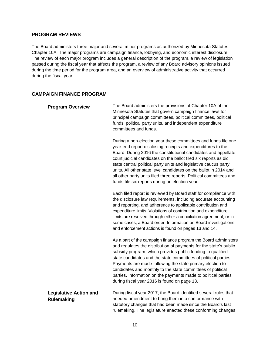## **PROGRAM REVIEWS**

The Board administers three major and several minor programs as authorized by Minnesota Statutes Chapter 10A. The major programs are campaign finance, lobbying, and economic interest disclosure. The review of each major program includes a general description of the program, a review of legislation passed during the fiscal year that affects the program, a review of any Board advisory opinions issued during the time period for the program area, and an overview of administrative activity that occurred during the fiscal year**.**

# <span id="page-13-0"></span>**CAMPAIGN FINANCE PROGRAM**

<span id="page-13-2"></span><span id="page-13-1"></span>

| <b>Program Overview</b>                            | The Board administers the provisions of Chapter 10A of the<br>Minnesota Statutes that govern campaign finance laws for<br>principal campaign committees, political committees, political<br>funds, political party units, and independent expenditure<br>committees and funds.                                                                                                                                                                                                                                                         |
|----------------------------------------------------|----------------------------------------------------------------------------------------------------------------------------------------------------------------------------------------------------------------------------------------------------------------------------------------------------------------------------------------------------------------------------------------------------------------------------------------------------------------------------------------------------------------------------------------|
|                                                    | During a non-election year these committees and funds file one<br>year-end report disclosing receipts and expenditures to the<br>Board. During 2016 the constitutional candidates and appellate<br>court judicial candidates on the ballot filed six reports as did<br>state central political party units and legislative caucus party<br>units. All other state level candidates on the ballot in 2014 and<br>all other party units filed three reports. Political committees and<br>funds file six reports during an election year. |
|                                                    | Each filed report is reviewed by Board staff for compliance with<br>the disclosure law requirements, including accurate accounting<br>and reporting, and adherence to applicable contribution and<br>expenditure limits. Violations of contribution and expenditure<br>limits are resolved through either a conciliation agreement, or in<br>some cases, a Board order. Information on Board investigations<br>and enforcement actions is found on pages 13 and 14.                                                                    |
|                                                    | As a part of the campaign finance program the Board administers<br>and regulates the distribution of payments for the state's public<br>subsidy program, which provides public funding to qualified<br>state candidates and the state committees of political parties.<br>Payments are made following the state primary election to<br>candidates and monthly to the state committees of political<br>parties. Information on the payments made to political parties<br>during fiscal year 2016 is found on page 13.                   |
| <b>Legislative Action and</b><br><b>Rulemaking</b> | During fiscal year 2017, the Board identified several rules that<br>needed amendment to bring them into conformance with<br>statutory changes that had been made since the Board's last<br>rulemaking. The legislature enacted these conforming changes                                                                                                                                                                                                                                                                                |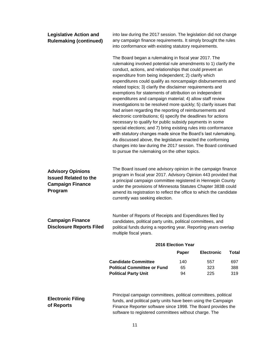<span id="page-14-2"></span><span id="page-14-1"></span><span id="page-14-0"></span>

| The Board began a rulemaking in fiscal year 2017. The<br>rulemaking involved potential rule amendments to 1) clarify the<br>conduct, actions, and relationships that could prevent an<br>expenditure from being independent; 2) clarify which<br>expenditures could qualify as noncampaign disbursements and<br>related topics; 3) clarify the disclaimer requirements and<br>exemptions for statements of attribution on independent<br>expenditures and campaign material; 4) allow staff review<br>investigations to be resolved more quickly; 5) clarify issues that<br>had arisen regarding the reporting of reimbursements and<br>electronic contributions; 6) specify the deadlines for actions<br>necessary to qualify for public subsidy payments in some<br>special elections; and 7) bring existing rules into conformance<br>with statutory changes made since the Board's last rulemaking.<br>As discussed above, the legislature enacted the conforming<br>changes into law during the 2017 session. The Board continued<br>to pursue the rulemaking on the other topics.<br>The Board issued one advisory opinion in the campaign finance |          |                   |                                                                                                                                                                                                                                                                                |
|----------------------------------------------------------------------------------------------------------------------------------------------------------------------------------------------------------------------------------------------------------------------------------------------------------------------------------------------------------------------------------------------------------------------------------------------------------------------------------------------------------------------------------------------------------------------------------------------------------------------------------------------------------------------------------------------------------------------------------------------------------------------------------------------------------------------------------------------------------------------------------------------------------------------------------------------------------------------------------------------------------------------------------------------------------------------------------------------------------------------------------------------------------|----------|-------------------|--------------------------------------------------------------------------------------------------------------------------------------------------------------------------------------------------------------------------------------------------------------------------------|
|                                                                                                                                                                                                                                                                                                                                                                                                                                                                                                                                                                                                                                                                                                                                                                                                                                                                                                                                                                                                                                                                                                                                                          |          |                   |                                                                                                                                                                                                                                                                                |
| program in fiscal year 2017. Advisory Opinion 443 provided that<br>a principal campaign committee registered in Hennepin County<br>under the provisions of Minnesota Statutes Chapter 383B could<br>amend its registration to reflect the office to which the candidate<br>currently was seeking election.                                                                                                                                                                                                                                                                                                                                                                                                                                                                                                                                                                                                                                                                                                                                                                                                                                               |          |                   |                                                                                                                                                                                                                                                                                |
| Number of Reports of Receipts and Expenditures filed by<br>candidates, political party units, political committees, and<br>political funds during a reporting year. Reporting years overlap<br>multiple fiscal years.                                                                                                                                                                                                                                                                                                                                                                                                                                                                                                                                                                                                                                                                                                                                                                                                                                                                                                                                    |          |                   |                                                                                                                                                                                                                                                                                |
|                                                                                                                                                                                                                                                                                                                                                                                                                                                                                                                                                                                                                                                                                                                                                                                                                                                                                                                                                                                                                                                                                                                                                          |          |                   |                                                                                                                                                                                                                                                                                |
|                                                                                                                                                                                                                                                                                                                                                                                                                                                                                                                                                                                                                                                                                                                                                                                                                                                                                                                                                                                                                                                                                                                                                          | Paper    | <b>Electronic</b> | <b>Total</b>                                                                                                                                                                                                                                                                   |
|                                                                                                                                                                                                                                                                                                                                                                                                                                                                                                                                                                                                                                                                                                                                                                                                                                                                                                                                                                                                                                                                                                                                                          | 140      | 557               | 697                                                                                                                                                                                                                                                                            |
|                                                                                                                                                                                                                                                                                                                                                                                                                                                                                                                                                                                                                                                                                                                                                                                                                                                                                                                                                                                                                                                                                                                                                          |          |                   | 388                                                                                                                                                                                                                                                                            |
|                                                                                                                                                                                                                                                                                                                                                                                                                                                                                                                                                                                                                                                                                                                                                                                                                                                                                                                                                                                                                                                                                                                                                          | 65<br>94 | 323<br>225        | 319                                                                                                                                                                                                                                                                            |
| <b>Disclosure Reports Filed</b><br><b>Candidate Committee</b><br><b>Political Committee or Fund</b><br><b>Political Party Unit</b>                                                                                                                                                                                                                                                                                                                                                                                                                                                                                                                                                                                                                                                                                                                                                                                                                                                                                                                                                                                                                       |          |                   | 2016 Election Year<br>Principal campaign committees, political committees, political<br>funds, and political party units have been using the Campaign<br>Finance Reporter software since 1998. The Board provides the<br>software to registered committees without charge. The |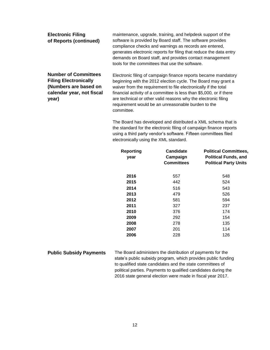| <b>Electronic Filing</b><br>of Reports (continued)                                                                         | maintenance, upgrade, training, and helpdesk support of the<br>software is provided by Board staff. The software provides<br>compliance checks and warnings as records are entered,<br>generates electronic reports for filing that reduce the data entry<br>demands on Board staff, and provides contact management<br>tools for the committees that use the software.                           |
|----------------------------------------------------------------------------------------------------------------------------|---------------------------------------------------------------------------------------------------------------------------------------------------------------------------------------------------------------------------------------------------------------------------------------------------------------------------------------------------------------------------------------------------|
| <b>Number of Committees</b><br><b>Filing Electronically</b><br>(Numbers are based on<br>calendar year, not fiscal<br>year) | Electronic filing of campaign finance reports became mandatory<br>beginning with the 2012 election cycle. The Board may grant a<br>waiver from the requirement to file electronically if the total<br>financial activity of a committee is less than \$5,000, or if there<br>are technical or other valid reasons why the electronic filing<br>requirement would be an unreasonable burden to the |

committee.

The Board has developed and distributed a XML schema that is the standard for the electronic filing of campaign finance reports using a third party vendor's software. Fifteen committees filed electronically using the XML standard.

| <b>Reporting</b><br>year | <b>Candidate</b><br>Campaign<br><b>Committees</b> | <b>Political Committees,</b><br><b>Political Funds, and</b><br><b>Political Party Units</b> |
|--------------------------|---------------------------------------------------|---------------------------------------------------------------------------------------------|
| 2016                     | 557                                               | 548                                                                                         |
| 2015                     | 442                                               | 524                                                                                         |
| 2014                     | 516                                               | 543                                                                                         |
| 2013                     | 479                                               | 526                                                                                         |
| 2012                     | 581                                               | 594                                                                                         |
| 2011                     | 327                                               | 237                                                                                         |
| 2010                     | 376                                               | 174                                                                                         |
| 2009                     | 292                                               | 154                                                                                         |
| 2008                     | 278                                               | 135                                                                                         |
| 2007                     | 201                                               | 114                                                                                         |
| 2006                     | 228                                               | 126                                                                                         |

<span id="page-15-0"></span>**Public Subsidy Payments** The Board administers the distribution of payments for the state's public subsidy program, which provides public funding to qualified state candidates and the state committees of political parties. Payments to qualified candidates during the 2016 state general election were made in fiscal year 2017.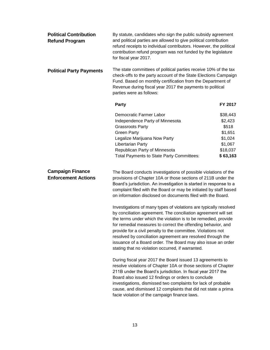<span id="page-16-2"></span><span id="page-16-1"></span><span id="page-16-0"></span>

| <b>Political Contribution</b><br><b>Refund Program</b> | By statute, candidates who sign the public subsidy agreement<br>and political parties are allowed to give political contribution<br>refund receipts to individual contributors. However, the political<br>contribution refund program was not funded by the legislature<br>for fiscal year 2017.                                                                                                                                                                                                                                                                                                                                                                                                                                                                                                                                                                        |                                                                                       |  |
|--------------------------------------------------------|-------------------------------------------------------------------------------------------------------------------------------------------------------------------------------------------------------------------------------------------------------------------------------------------------------------------------------------------------------------------------------------------------------------------------------------------------------------------------------------------------------------------------------------------------------------------------------------------------------------------------------------------------------------------------------------------------------------------------------------------------------------------------------------------------------------------------------------------------------------------------|---------------------------------------------------------------------------------------|--|
| <b>Political Party Payments</b>                        | The state committees of political parties receive 10% of the tax<br>check-offs to the party account of the State Elections Campaign<br>Fund. Based on monthly certification from the Department of<br>Revenue during fiscal year 2017 the payments to political<br>parties were as follows:                                                                                                                                                                                                                                                                                                                                                                                                                                                                                                                                                                             |                                                                                       |  |
|                                                        | <b>Party</b>                                                                                                                                                                                                                                                                                                                                                                                                                                                                                                                                                                                                                                                                                                                                                                                                                                                            | FY 2017                                                                               |  |
|                                                        | Democratic Farmer Labor<br>Independence Party of Minnesota<br><b>Grassroots Party</b><br><b>Green Party</b><br>Legalize Marijuana Now Party<br>Libertarian Party<br>Republican Party of Minnesota<br>Total Payments to State Party Committees:                                                                                                                                                                                                                                                                                                                                                                                                                                                                                                                                                                                                                          | \$38,443<br>\$2,423<br>\$518<br>\$1,651<br>\$1,024<br>\$1,067<br>\$18,037<br>\$63,163 |  |
| <b>Campaign Finance</b><br><b>Enforcement Actions</b>  | The Board conducts investigations of possible violations of the<br>provisions of Chapter 10A or those sections of 211B under the<br>Board's jurisdiction. An investigation is started in response to a<br>complaint filed with the Board or may be initiated by staff based<br>on information disclosed on documents filed with the Board.<br>Investigations of many types of violations are typically resolved<br>by conciliation agreement. The conciliation agreement will set<br>the terms under which the violation is to be remedied, provide<br>for remedial measures to correct the offending behavior, and<br>provide for a civil penalty to the committee. Violations not<br>resolved by conciliation agreement are resolved through the<br>issuance of a Board order. The Board may also issue an order<br>stating that no violation occurred, if warranted. |                                                                                       |  |
|                                                        | During fiscal year 2017 the Board issued 13 agreements to<br>resolve violations of Chapter 10A or those sections of Chapter<br>211B under the Board's jurisdiction. In fiscal year 2017 the<br>Board also issued 12 findings or orders to conclude<br>investigations, dismissed two complaints for lack of probable<br>cause, and dismissed 12 complaints that did not state a prima<br>facie violation of the campaign finance laws.                                                                                                                                                                                                                                                                                                                                                                                                                                   |                                                                                       |  |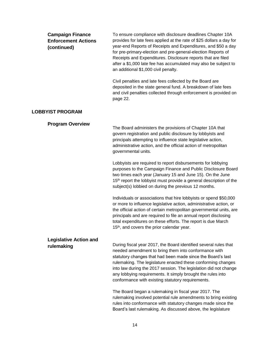<span id="page-17-2"></span><span id="page-17-1"></span><span id="page-17-0"></span>

| <b>Campaign Finance</b><br><b>Enforcement Actions</b><br>(continued) | To ensure compliance with disclosure deadlines Chapter 10A<br>provides for late fees applied at the rate of \$25 dollars a day for<br>year-end Reports of Receipts and Expenditures, and \$50 a day<br>for pre-primary-election and pre-general-election Reports of<br>Receipts and Expenditures. Disclosure reports that are filed<br>after a \$1,000 late fee has accumulated may also be subject to<br>an additional \$1,000 civil penalty.  |
|----------------------------------------------------------------------|-------------------------------------------------------------------------------------------------------------------------------------------------------------------------------------------------------------------------------------------------------------------------------------------------------------------------------------------------------------------------------------------------------------------------------------------------|
|                                                                      | Civil penalties and late fees collected by the Board are<br>deposited in the state general fund. A breakdown of late fees<br>and civil penalties collected through enforcement is provided on<br>page 22.                                                                                                                                                                                                                                       |
| <b>LOBBYIST PROGRAM</b>                                              |                                                                                                                                                                                                                                                                                                                                                                                                                                                 |
| <b>Program Overview</b>                                              | The Board administers the provisions of Chapter 10A that<br>govern registration and public disclosure by lobbyists and<br>principals attempting to influence state legislative action,<br>administrative action, and the official action of metropolitan<br>governmental units.                                                                                                                                                                 |
|                                                                      | Lobbyists are required to report disbursements for lobbying<br>purposes to the Campaign Finance and Public Disclosure Board<br>two times each year (January 15 and June 15). On the June<br>15 <sup>th</sup> report the lobbyist must provide a general description of the<br>subject(s) lobbied on during the previous 12 months.                                                                                                              |
|                                                                      | Individuals or associations that hire lobbyists or spend \$50,000<br>or more to influence legislative action, administrative action, or<br>the official action of certain metropolitan governmental units, are<br>principals and are required to file an annual report disclosing<br>total expenditures on these efforts. The report is due March<br>15 <sup>th</sup> , and covers the prior calendar year.                                     |
| <b>Legislative Action and</b><br>rulemaking                          | During fiscal year 2017, the Board identified several rules that<br>needed amendment to bring them into conformance with<br>statutory changes that had been made since the Board's last<br>rulemaking. The legislature enacted these conforming changes<br>into law during the 2017 session. The legislation did not change<br>any lobbying requirements. It simply brought the rules into<br>conformance with existing statutory requirements. |
|                                                                      | The Board began a rulemaking in fiscal year 2017. The<br>rulemaking involved potential rule amendments to bring existing<br>rules into conformance with statutory changes made since the<br>Board's last rulemaking. As discussed above, the legislature                                                                                                                                                                                        |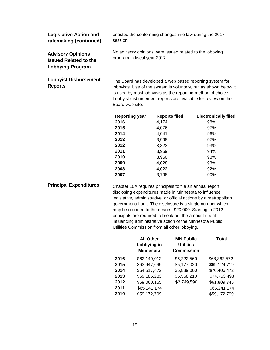<span id="page-18-1"></span><span id="page-18-0"></span>

| <b>Legislative Action and</b><br>rulemaking (continued)                      | enacted the conforming changes into law during the 2017<br>session.                                                                                                                                                                                                              |                      |                             |
|------------------------------------------------------------------------------|----------------------------------------------------------------------------------------------------------------------------------------------------------------------------------------------------------------------------------------------------------------------------------|----------------------|-----------------------------|
| <b>Advisory Opinions</b><br><b>Issued Related to the</b><br>Lobbying Program | No advisory opinions were issued related to the lobbying<br>program in fiscal year 2017.                                                                                                                                                                                         |                      |                             |
| <b>Lobbyist Disbursement</b><br><b>Reports</b>                               | The Board has developed a web based reporting system for<br>lobbyists. Use of the system is voluntary, but as shown below it<br>is used by most lobbyists as the reporting method of choice.<br>Lobbyist disbursement reports are available for review on the<br>Board web site. |                      |                             |
|                                                                              | <b>Reporting year</b>                                                                                                                                                                                                                                                            | <b>Reports filed</b> | <b>Electronically filed</b> |
|                                                                              | 2016                                                                                                                                                                                                                                                                             | 4,174                | 98%                         |
|                                                                              | 2015                                                                                                                                                                                                                                                                             | 4,076                | 97%                         |
|                                                                              | 2014                                                                                                                                                                                                                                                                             | 4,041                | 96%                         |
|                                                                              | 2013                                                                                                                                                                                                                                                                             | 3,998                | 97%                         |
|                                                                              | 2012                                                                                                                                                                                                                                                                             | 3,823                | 93%                         |
|                                                                              | 2011                                                                                                                                                                                                                                                                             | 3,959                | 94%                         |
|                                                                              | 2010                                                                                                                                                                                                                                                                             | 3,950                | 98%                         |

<span id="page-18-2"></span>**Principal Expenditures** Chapter 10A requires principals to file an annual report disclosing expenditures made in Minnesota to influence legislative, administrative, or official actions by a metropolitan governmental unit. The disclosure is a single number which may be rounded to the nearest \$20,000. Starting in 2012 principals are required to break out the amount spent influencing administrative action of the Minnesota Public Utilities Commission from all other lobbying.

**2009** 4,028 93% **2008** 4,022 92% **2007** 3,798 90%

|      | <b>All Other</b><br>Lobbying in<br><b>Minnesota</b> | <b>MN Public</b><br><b>Utilities</b><br><b>Commission</b> | Total        |
|------|-----------------------------------------------------|-----------------------------------------------------------|--------------|
| 2016 | \$62,140,012                                        | \$6,222,560                                               | \$68,362,572 |
| 2015 | \$63,947,699                                        | \$5,177,020                                               | \$69,124,719 |
| 2014 | \$64,517,472                                        | \$5,889,000                                               | \$70,406,472 |
| 2013 | \$69,185,283                                        | \$5,568,210                                               | \$74,753,493 |
| 2012 | \$59,060,155                                        | \$2,749,590                                               | \$61,809,745 |
| 2011 | \$65,241,174                                        |                                                           | \$65,241,174 |
| 2010 | \$59,172,799                                        |                                                           | \$59,172,799 |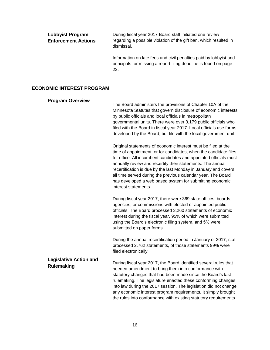<span id="page-19-3"></span><span id="page-19-2"></span><span id="page-19-1"></span><span id="page-19-0"></span>

| <b>Lobbyist Program</b><br><b>Enforcement Actions</b> | During fiscal year 2017 Board staff initiated one review<br>regarding a possible violation of the gift ban, which resulted in<br>dismissal.                                                                                                                                                                                                                                                                                                                                                 |  |
|-------------------------------------------------------|---------------------------------------------------------------------------------------------------------------------------------------------------------------------------------------------------------------------------------------------------------------------------------------------------------------------------------------------------------------------------------------------------------------------------------------------------------------------------------------------|--|
|                                                       | Information on late fees and civil penalties paid by lobbyist and<br>principals for missing a report filing deadline is found on page<br>22.                                                                                                                                                                                                                                                                                                                                                |  |
| <b>ECONOMIC INTEREST PROGRAM</b>                      |                                                                                                                                                                                                                                                                                                                                                                                                                                                                                             |  |
| <b>Program Overview</b>                               | The Board administers the provisions of Chapter 10A of the<br>Minnesota Statutes that govern disclosure of economic interests<br>by public officials and local officials in metropolitan<br>governmental units. There were over 3,179 public officials who<br>filed with the Board in fiscal year 2017. Local officials use forms<br>developed by the Board, but file with the local government unit.                                                                                       |  |
|                                                       | Original statements of economic interest must be filed at the<br>time of appointment, or for candidates, when the candidate files<br>for office. All incumbent candidates and appointed officials must<br>annually review and recertify their statements. The annual<br>recertification is due by the last Monday in January and covers<br>all time served during the previous calendar year. The Board<br>has developed a web based system for submitting economic<br>interest statements. |  |
|                                                       | During fiscal year 2017, there were 369 state offices, boards,<br>agencies, or commissions with elected or appointed public<br>officials. The Board processed 3,260 statements of economic<br>interest during the fiscal year, 95% of which were submitted<br>using the Board's electronic filing system, and 5% were<br>submitted on paper forms.                                                                                                                                          |  |
|                                                       | During the annual recertification period in January of 2017, staff<br>processed 2,762 statements, of those statements 99% were<br>filed electronically.                                                                                                                                                                                                                                                                                                                                     |  |
| <b>Legislative Action and</b><br><b>Rulemaking</b>    | During fiscal year 2017, the Board identified several rules that<br>needed amendment to bring them into conformance with<br>statutory changes that had been made since the Board's last<br>rulemaking. The legislature enacted these conforming changes<br>into law during the 2017 session. The legislation did not change<br>any economic interest program requirements. It simply brought<br>the rules into conformance with existing statutory requirements.                            |  |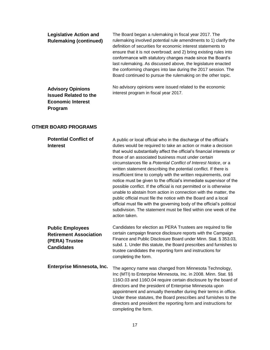| <b>Legislative Action and</b><br><b>Rulemaking (continued)</b>                                  | The Board began a rulemaking in fiscal year 2017. The<br>rulemaking involved potential rule amendments to 1) clarify the<br>definition of securities for economic interest statements to<br>ensure that it is not overbroad; and 2) bring existing rules into<br>conformance with statutory changes made since the Board's<br>last rulemaking. As discussed above, the legislature enacted<br>the conforming changes into law during the 2017 session. The<br>Board continued to pursue the rulemaking on the other topic. |
|-------------------------------------------------------------------------------------------------|----------------------------------------------------------------------------------------------------------------------------------------------------------------------------------------------------------------------------------------------------------------------------------------------------------------------------------------------------------------------------------------------------------------------------------------------------------------------------------------------------------------------------|
| <b>Advisory Opinions</b><br><b>Issued Related to the</b><br><b>Economic Interest</b><br>Program | No advisory opinions were issued related to the economic<br>interest program in fiscal year 2017.                                                                                                                                                                                                                                                                                                                                                                                                                          |
| <b>OTHER BOARD PROGRAMS</b>                                                                     |                                                                                                                                                                                                                                                                                                                                                                                                                                                                                                                            |

<span id="page-20-1"></span><span id="page-20-0"></span>

| <b>Potential Conflict of</b><br><b>Interest</b>                                                 | A public or local official who in the discharge of the official's<br>duties would be required to take an action or make a decision<br>that would substantially affect the official's financial interests or<br>those of an associated business must under certain<br>circumstances file a Potential Conflict of Interest Notice, or a<br>written statement describing the potential conflict. If there is<br>insufficient time to comply with the written requirements, oral<br>notice must be given to the official's immediate supervisor of the<br>possible conflict. If the official is not permitted or is otherwise<br>unable to abstain from action in connection with the matter, the<br>public official must file the notice with the Board and a local<br>official must file with the governing body of the official's political<br>subdivision. The statement must be filed within one week of the<br>action taken. |
|-------------------------------------------------------------------------------------------------|--------------------------------------------------------------------------------------------------------------------------------------------------------------------------------------------------------------------------------------------------------------------------------------------------------------------------------------------------------------------------------------------------------------------------------------------------------------------------------------------------------------------------------------------------------------------------------------------------------------------------------------------------------------------------------------------------------------------------------------------------------------------------------------------------------------------------------------------------------------------------------------------------------------------------------|
| <b>Public Employees</b><br><b>Retirement Association</b><br>(PERA) Trustee<br><b>Candidates</b> | Candidates for election as PERA Trustees are required to file<br>certain campaign finance disclosure reports with the Campaign<br>Finance and Public Disclosure Board under Minn. Stat. § 353.03,<br>subd. 1. Under this statute, the Board prescribes and furnishes to<br>trustee candidates the reporting form and instructions for<br>completing the form.                                                                                                                                                                                                                                                                                                                                                                                                                                                                                                                                                                  |
| Enterprise Minnesota, Inc.                                                                      | The agency name was changed from Minnesota Technology,<br>Inc (MTI) to Enterprise Minnesota, Inc. in 2008. Minn. Stat. §§<br>116O.03 and 116O.04 require certain disclosure by the board of<br>directors and the president of Enterprise Minnesota upon<br>appointment and annually thereafter during their terms in office.<br>Under these statutes, the Board prescribes and furnishes to the<br>directors and president the reporting form and instructions for<br>completing the form.                                                                                                                                                                                                                                                                                                                                                                                                                                     |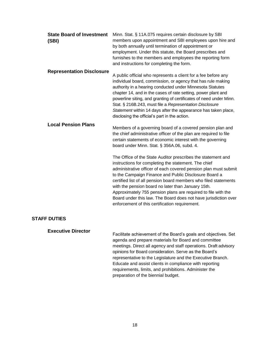| <b>State Board of Investment</b><br>(SBI) | Minn. Stat. § 11A.075 requires certain disclosure by SBI<br>members upon appointment and SBI employees upon hire and<br>by both annually until termination of appointment or<br>employment. Under this statute, the Board prescribes and<br>furnishes to the members and employees the reporting form<br>and instructions for completing the form.                                                                                                                                                                                                               |
|-------------------------------------------|------------------------------------------------------------------------------------------------------------------------------------------------------------------------------------------------------------------------------------------------------------------------------------------------------------------------------------------------------------------------------------------------------------------------------------------------------------------------------------------------------------------------------------------------------------------|
| <b>Representation Disclosure</b>          | A public official who represents a client for a fee before any<br>individual board, commission, or agency that has rule making<br>authority in a hearing conducted under Minnesota Statutes<br>chapter 14, and in the cases of rate setting, power plant and<br>powerline siting, and granting of certificates of need under Minn.<br>Stat. § 216B.243, must file a Representation Disclosure<br>Statement within 14 days after the appearance has taken place,<br>disclosing the official's part in the action.                                                 |
| <b>Local Pension Plans</b>                | Members of a governing board of a covered pension plan and<br>the chief administrative officer of the plan are required to file<br>certain statements of economic interest with the governing<br>board under Minn. Stat. § 356A.06, subd. 4.                                                                                                                                                                                                                                                                                                                     |
|                                           | The Office of the State Auditor prescribes the statement and<br>instructions for completing the statement. The chief<br>administrative officer of each covered pension plan must submit<br>to the Campaign Finance and Public Disclosure Board a<br>certified list of all pension board members who filed statements<br>with the pension board no later than January 15th.<br>Approximately 755 pension plans are required to file with the<br>Board under this law. The Board does not have jurisdiction over<br>enforcement of this certification requirement. |
| <b>STAFF DUTIES</b>                       |                                                                                                                                                                                                                                                                                                                                                                                                                                                                                                                                                                  |

## <span id="page-21-0"></span>**Executive Director**

Facilitate achievement of the Board's goals and objectives. Set agenda and prepare materials for Board and committee meetings. Direct all agency and staff operations. Draft advisory opinions for Board consideration. Serve as the Board's representative to the Legislature and the Executive Branch. Educate and assist clients in compliance with reporting requirements, limits, and prohibitions. Administer the preparation of the biennial budget.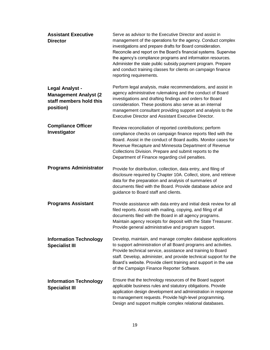| <b>Assistant Executive</b><br><b>Director</b>                                                   | Serve as advisor to the Executive Director and assist in<br>management of the operations for the agency. Conduct complex<br>investigations and prepare drafts for Board consideration.<br>Reconcile and report on the Board's financial systems. Supervise<br>the agency's compliance programs and information resources.<br>Administer the state public subsidy payment program. Prepare<br>and conduct training classes for clients on campaign finance<br>reporting requirements. |
|-------------------------------------------------------------------------------------------------|--------------------------------------------------------------------------------------------------------------------------------------------------------------------------------------------------------------------------------------------------------------------------------------------------------------------------------------------------------------------------------------------------------------------------------------------------------------------------------------|
| <b>Legal Analyst -</b><br><b>Management Analyst (2)</b><br>staff members hold this<br>position) | Perform legal analysis, make recommendations, and assist in<br>agency administrative rulemaking and the conduct of Board<br>investigations and drafting findings and orders for Board<br>consideration. These positions also serve as an internal<br>management consultant providing support and analysis to the<br><b>Executive Director and Assistant Executive Director.</b>                                                                                                      |
| <b>Compliance Officer</b><br>Investigator                                                       | Review reconciliation of reported contributions; perform<br>compliance checks on campaign finance reports filed with the<br>Board. Assist in the conduct of Board audits. Monitor cases for<br>Revenue Recapture and Minnesota Department of Revenue<br>Collections Division. Prepare and submit reports to the<br>Department of Finance regarding civil penalties.                                                                                                                  |
| <b>Programs Administrator</b>                                                                   | Provide for distribution, collection, data entry, and filing of<br>disclosure required by Chapter 10A. Collect, store, and retrieve<br>data for the preparation and analysis of summaries of<br>documents filed with the Board. Provide database advice and<br>guidance to Board staff and clients.                                                                                                                                                                                  |
| <b>Programs Assistant</b>                                                                       | Provide assistance with data entry and initial desk review for all<br>filed reports. Assist with mailing, copying, and filing of all<br>documents filed with the Board in all agency programs.<br>Maintain agency receipts for deposit with the State Treasurer.<br>Provide general administrative and program support.                                                                                                                                                              |
| <b>Information Technology</b><br><b>Specialist III</b>                                          | Develop, maintain, and manage complex database applications<br>to support administration of all Board programs and activities.<br>Provide technical service, assistance and training to Board<br>staff. Develop, administer, and provide technical support for the<br>Board's website. Provide client training and support in the use<br>of the Campaign Finance Reporter Software.                                                                                                  |
| <b>Information Technology</b><br><b>Specialist III</b>                                          | Ensure that the technology resources of the Board support<br>applicable business rules and statutory obligations. Provide<br>application design development and administration in response<br>to management requests. Provide high-level programming.<br>Design and support multiple complex relational databases.                                                                                                                                                                   |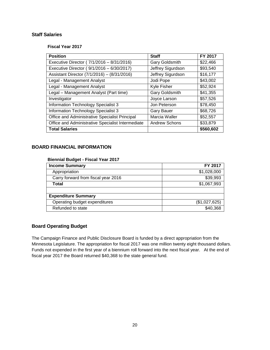# <span id="page-23-0"></span>**Staff Salaries**

**Fiscal Year 2017**

| <b>Position</b>                                   | <b>Staff</b>         | FY 2017   |
|---------------------------------------------------|----------------------|-----------|
| Executive Director (7/1/2016 - 8/31/2016)         | Gary Goldsmith       | \$22,466  |
| Executive Director (9/1/2016 - 6/30/2017)         | Jeffrey Sigurdson    | \$93,540  |
| Assistant Director (7/1/2016) - (8/31/2016)       | Jeffrey Sigurdson    | \$16,177  |
| Legal - Management Analyst                        | Jodi Pope            | \$43,002  |
| Legal - Management Analyst                        | Kyle Fisher          | \$52,924  |
| Legal - Management Analyst (Part time)            | Gary Goldsmith       | \$41,355  |
| Investigator                                      | Joyce Larson         | \$57,526  |
| Information Technology Specialist 3               | Jon Peterson         | \$78,450  |
| Information Technology Specialist 3               | <b>Gary Bauer</b>    | \$68,726  |
| Office and Administrative Specialist Principal    | Marcia Waller        | \$52,557  |
| Office and Administrative Specialist Intermediate | <b>Andrew Schons</b> | \$33,879  |
| <b>Total Salaries</b>                             |                      | \$560,602 |

# <span id="page-23-1"></span>**BOARD FINANCIAL INFORMATION**

#### **Biennial Budget - Fiscal Year 2017**

| <b>Income Summary</b>               | FY 2017       |
|-------------------------------------|---------------|
| Appropriation                       | \$1,028,000   |
| Carry forward from fiscal year 2016 | \$39,993      |
| Total                               | \$1,067,993   |
|                                     |               |
| <b>Expenditure Summary</b>          |               |
| Operating budget expenditures       | (\$1,027,625) |
| Refunded to state                   | \$40,368      |

# <span id="page-23-2"></span>**Board Operating Budget**

The Campaign Finance and Public Disclosure Board is funded by a direct appropriation from the Minnesota Legislature. The appropriation for fiscal 2017 was one million twenty eight thousand dollars. Funds not expended in the first year of a biennium roll forward into the next fiscal year. At the end of fiscal year 2017 the Board returned \$40,368 to the state general fund.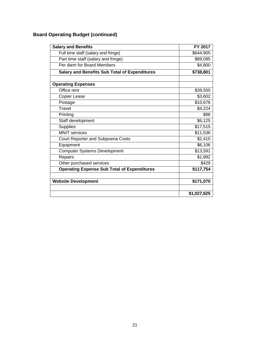# **Board Operating Budget (continued)**

| <b>Salary and Benefits</b>                           | FY 2017     |
|------------------------------------------------------|-------------|
| Full time staff (salary and fringe)                  | \$644,905   |
| Part time staff (salary and fringe)                  | \$89,095    |
| Per diem for Board Members                           | \$4,800     |
| <b>Salary and Benefits Sub Total of Expenditures</b> | \$738,801   |
|                                                      |             |
| <b>Operating Expenses</b>                            |             |
| Office rent                                          | \$39,550    |
| Copier Lease                                         | \$3,602     |
| Postage                                              | \$10,676    |
| Travel                                               | \$4,224     |
| Printing                                             | \$98        |
| Staff development                                    | \$6,125     |
| <b>Supplies</b>                                      | \$17,515    |
| <b>MNIT</b> services                                 | \$11,536    |
| Court Reporter and Subpoena Costs                    | \$2,410     |
| Equipment                                            | \$6,106     |
| <b>Computer Systems Development</b>                  | \$13,591    |
| Repairs                                              | \$1,892     |
| Other purchased services                             | \$429       |
| <b>Operating Expense Sub Total of Expenditures</b>   | \$117,754   |
|                                                      |             |
| <b>Website Development</b>                           | \$171,070   |
|                                                      |             |
|                                                      | \$1,027,625 |